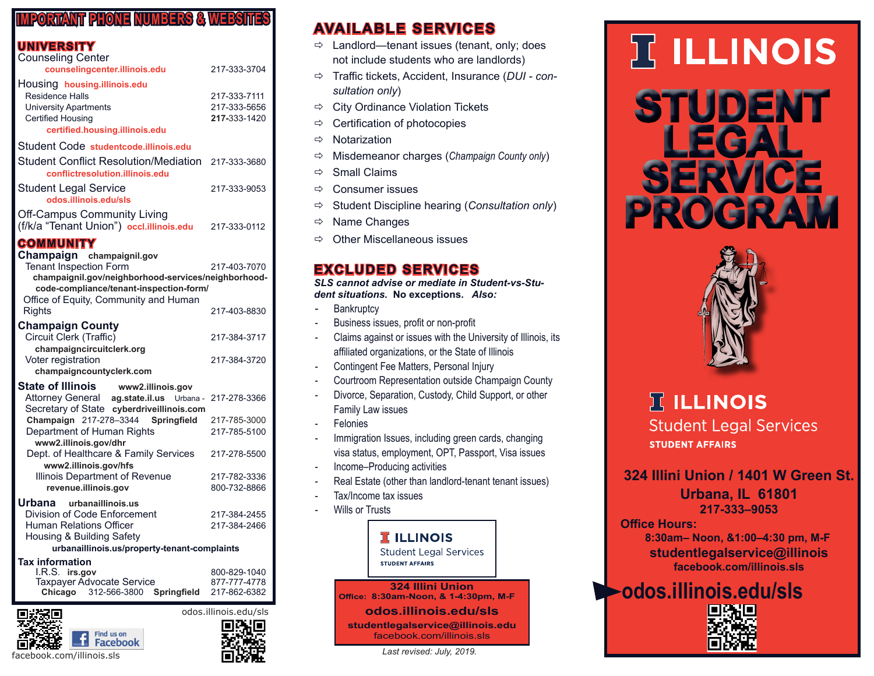#### **IMPORTANT PHONE NUMBERS & WEBSITES**

#### **UNIVERSITY**

| <b>Counseling Center</b>                                                              |              |
|---------------------------------------------------------------------------------------|--------------|
| counselingcenter.illinois.edu                                                         | 217-333-3704 |
| Housing housing.illinois.edu                                                          |              |
| Residence Halls                                                                       | 217-333-7111 |
| <b>University Apartments</b>                                                          | 217-333-5656 |
| <b>Certified Housing</b>                                                              | 217-333-1420 |
| certified.housing.illinois.edu                                                        |              |
| Student Code studentcode.illinois.edu                                                 |              |
| Student Conflict Resolution/Mediation 217-333-3680<br>conflictresolution.illinois.edu |              |
| <b>Student Legal Service</b><br>odos.illinois.edu/sls                                 | 217-333-9053 |
| <b>Off-Campus Community Living</b><br>(f/k/a "Tenant Union") occl.illinois.edu        | 217-333-0112 |

#### **COMMUNITY**

| Champaign champaignil.gov<br><b>Tenant Inspection Form</b><br>champaignil.gov/neighborhood-services/neighborhood-<br>code-compliance/tenant-inspection-form/<br>Office of Equity, Community and Human | 217-403-7070 |
|-------------------------------------------------------------------------------------------------------------------------------------------------------------------------------------------------------|--------------|
| <b>Rights</b>                                                                                                                                                                                         | 217-403-8830 |
| <b>Champaign County</b><br>Circuit Clerk (Traffic)<br>champaigncircuitclerk.org                                                                                                                       | 217-384-3717 |
| Voter registration<br>champaigncountyclerk.com                                                                                                                                                        | 217-384-3720 |
| State of Illinois www2.illinois.gov                                                                                                                                                                   |              |
| Attorney General ag.state.il.us Urbana -<br>Secretary of State cyberdriveillinois.com                                                                                                                 | 217-278-3366 |
| Champaign 217-278-3344 Springfield                                                                                                                                                                    | 217-785-3000 |
| Department of Human Rights<br>www2.illinois.gov/dhr                                                                                                                                                   | 217-785-5100 |
| Dept. of Healthcare & Family Services<br>www2.illinois.gov/hfs                                                                                                                                        | 217-278-5500 |
| Illinois Department of Revenue                                                                                                                                                                        | 217-782-3336 |
| revenue.illinois.gov                                                                                                                                                                                  | 800-732-8866 |
| Urbana urbanaillinois.us                                                                                                                                                                              |              |
| Division of Code Enforcement                                                                                                                                                                          | 217-384-2455 |
| <b>Human Relations Officer</b>                                                                                                                                                                        | 217-384-2466 |
| Housing & Building Safety                                                                                                                                                                             |              |
| urbanaillinois.us/property-tenant-complaints                                                                                                                                                          |              |
| <b>Tax information</b>                                                                                                                                                                                |              |
| I.R.S. irs.gov                                                                                                                                                                                        | 800-829-1040 |
| <b>Taxpayer Advocate Service</b>                                                                                                                                                                      | 877-777-4778 |
| Chicago<br>312-566-3800<br>Springfield                                                                                                                                                                | 217-862-6382 |
|                                                                                                                                                                                                       |              |





## **AVAILABLE SERVICES**

- $\Rightarrow$  Landlord—tenant issues (tenant, only; does not include students who are landlords)
- Traffic tickets, Accident, Insurance (*DUI consultation only*)
- $\Rightarrow$  City Ordinance Violation Tickets
- $\Rightarrow$  Certification of photocopies
- $\Rightarrow$  Notarization
- Misdemeanor charges (*Champaign County only*)
- $\Rightarrow$  Small Claims
- $\Rightarrow$  Consumer issues
- Student Discipline hearing (*Consultation only*)
- $\Rightarrow$  Name Changes
- $\Rightarrow$  Other Miscellaneous issues

### **EXCLUDED SERVICES**

*SLS cannot advise or mediate in Student-vs-Student situations.* **No exceptions.** *Also:*

- **Bankruptcy**
- Business issues, profit or non-profit
- Claims against or issues with the University of Illinois, its affiliated organizations, or the State of Illinois
- Contingent Fee Matters, Personal Injury
- Courtroom Representation outside Champaign County
- Divorce, Separation, Custody, Child Support, or other Family Law issues
- **Felonies**
- Immigration Issues, including green cards, changing visa status, employment, OPT, Passport, Visa issues
- Income–Producing activities
- Real Estate (other than landlord-tenant tenant issues)
- Tax/Income tax issues
- Wills or Trusts



# **IT ILLINOIS STUDENT LEGAL SERVICE**



**PROGRAM**

## **IT ILLINOIS Student Legal Services STUDENT AFFAIRS**

**324 Illini Union / 1401 W Green St.**

**Urbana, IL 61801 217-333–9053**

**Office Hours:** 

 **8:30am– Noon, &1:00–4:30 pm, M-F studentlegalservice@illinois facebook.com/illinois.sls**

**odos.illinois.edu/sls**